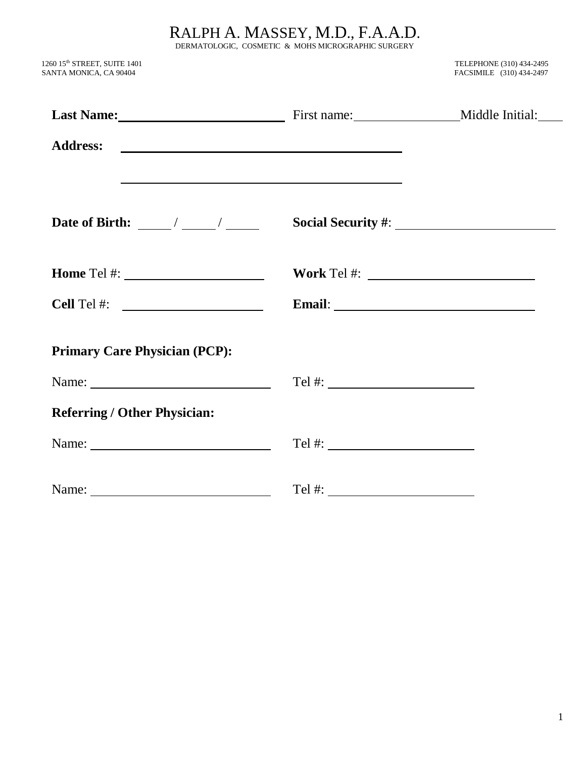RALPH A. MASSEY, M.D., F.A.A.D.

DERMATOLOGIC, COSMETIC & MOHS MICROGRAPHIC SURGERY

 $1260$   $15^{\text{th}}$ SANTA MONICA, CA 90404 FACSIMILE (310) 434-2497

TELEPHONE (310) 434-2495<br>FACSIMILE (310) 434-2497

| Last Name: Middle Initial: First name: Middle Initial:                                                                                                                                                                                                                                                                    |                                                                                                                                                                                                                                                                                                      |  |
|---------------------------------------------------------------------------------------------------------------------------------------------------------------------------------------------------------------------------------------------------------------------------------------------------------------------------|------------------------------------------------------------------------------------------------------------------------------------------------------------------------------------------------------------------------------------------------------------------------------------------------------|--|
|                                                                                                                                                                                                                                                                                                                           |                                                                                                                                                                                                                                                                                                      |  |
| <u>and the second control of the second control of the second control of the second control of the second control of the second control of the second control of the second control of the second control of the second control </u><br>Date of Birth: $\frac{\sqrt{2}}{2}$ / $\frac{\sqrt{2}}{2}$ / $\frac{\sqrt{2}}{2}$ |                                                                                                                                                                                                                                                                                                      |  |
| Home Tel #: $\_$                                                                                                                                                                                                                                                                                                          |                                                                                                                                                                                                                                                                                                      |  |
| <b>Cell</b> Tel #: $\qquad \qquad$                                                                                                                                                                                                                                                                                        |                                                                                                                                                                                                                                                                                                      |  |
| <b>Primary Care Physician (PCP):</b>                                                                                                                                                                                                                                                                                      |                                                                                                                                                                                                                                                                                                      |  |
|                                                                                                                                                                                                                                                                                                                           |                                                                                                                                                                                                                                                                                                      |  |
| <b>Referring / Other Physician:</b>                                                                                                                                                                                                                                                                                       |                                                                                                                                                                                                                                                                                                      |  |
|                                                                                                                                                                                                                                                                                                                           | Tel #: $\frac{1}{2}$ = $\frac{1}{2}$ = $\frac{1}{2}$ = $\frac{1}{2}$ = $\frac{1}{2}$ = $\frac{1}{2}$ = $\frac{1}{2}$ = $\frac{1}{2}$ = $\frac{1}{2}$ = $\frac{1}{2}$ = $\frac{1}{2}$ = $\frac{1}{2}$ = $\frac{1}{2}$ = $\frac{1}{2}$ = $\frac{1}{2}$ = $\frac{1}{2}$ = $\frac{1}{2}$ = $\frac{1}{2}$ |  |
| Name: $\frac{1}{\sqrt{1-\frac{1}{2}}\sqrt{1-\frac{1}{2}}\sqrt{1-\frac{1}{2}}\sqrt{1-\frac{1}{2}}}}$                                                                                                                                                                                                                       |                                                                                                                                                                                                                                                                                                      |  |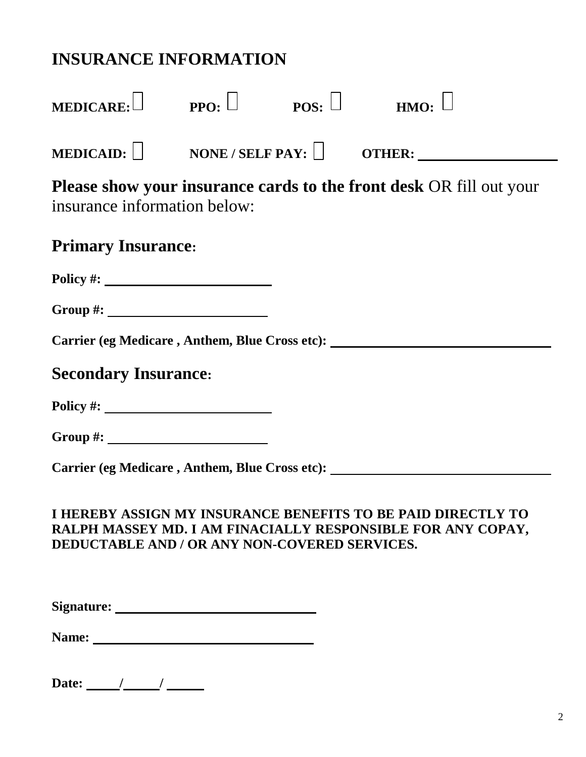| <b>INSURANCE INFORMATION</b>                         |  |                                                                                                                             |
|------------------------------------------------------|--|-----------------------------------------------------------------------------------------------------------------------------|
| MEDICARE: PPO: $\Box$ POS: $\Box$ HMO: $\Box$        |  |                                                                                                                             |
|                                                      |  |                                                                                                                             |
| insurance information below:                         |  | <b>Please show your insurance cards to the front desk OR fill out your</b>                                                  |
| <b>Primary Insurance:</b>                            |  |                                                                                                                             |
| Policy #: $\qquad \qquad$                            |  |                                                                                                                             |
| Group #: $\_$                                        |  |                                                                                                                             |
|                                                      |  | Carrier (eg Medicare, Anthem, Blue Cross etc): _________________________________                                            |
| <b>Secondary Insurance:</b>                          |  |                                                                                                                             |
| Policy #: $\qquad \qquad$                            |  |                                                                                                                             |
| Group #: $\_$                                        |  |                                                                                                                             |
| Carrier (eg Medicare, Anthem, Blue Cross etc):       |  |                                                                                                                             |
| <b>DEDUCTABLE AND / OR ANY NON-COVERED SERVICES.</b> |  | I HEREBY ASSIGN MY INSURANCE BENEFITS TO BE PAID DIRECTLY TO<br>RALPH MASSEY MD. I AM FINACIALLY RESPONSIBLE FOR ANY COPAY, |

| Signature: |  |
|------------|--|
|            |  |

| Name: |  |
|-------|--|
|       |  |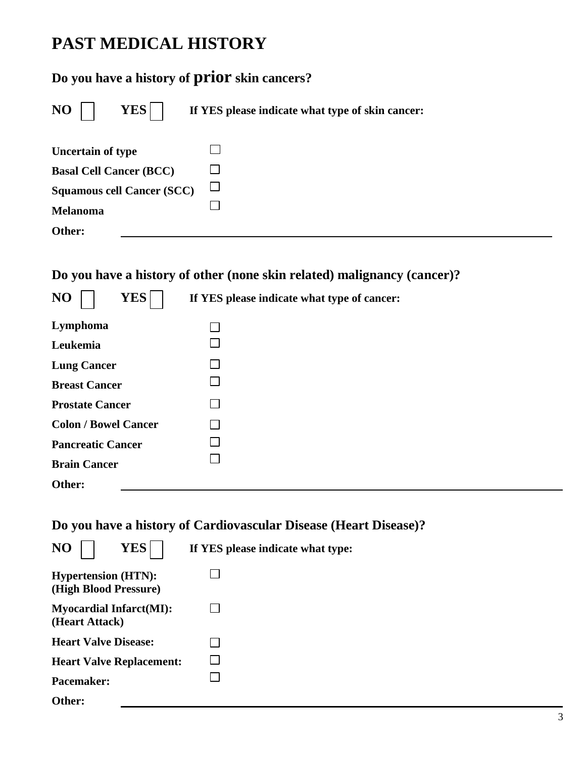## **PAST MEDICAL HISTORY**

### **Do you have a history of prior skin cancers?**

| $\overline{\text{NO}}$<br><b>YES</b> | If YES please indicate what type of skin cancer: |
|--------------------------------------|--------------------------------------------------|
| <b>Uncertain of type</b>             |                                                  |
| <b>Basal Cell Cancer (BCC)</b>       |                                                  |
| <b>Squamous cell Cancer (SCC)</b>    |                                                  |
| Melanoma                             |                                                  |
| Other:                               |                                                  |
|                                      |                                                  |

#### **Do you have a history of other (none skin related) malignancy (cancer)?**

| NO                     | <b>YES</b>                  | If YES please indicate what type of cancer: |  |
|------------------------|-----------------------------|---------------------------------------------|--|
| Lymphoma               |                             |                                             |  |
| Leukemia               |                             |                                             |  |
| <b>Lung Cancer</b>     |                             |                                             |  |
| <b>Breast Cancer</b>   |                             |                                             |  |
| <b>Prostate Cancer</b> |                             |                                             |  |
|                        | <b>Colon / Bowel Cancer</b> |                                             |  |
|                        | <b>Pancreatic Cancer</b>    |                                             |  |
| <b>Brain Cancer</b>    |                             |                                             |  |
| Other:                 |                             |                                             |  |

#### **Do you have a history of Cardiovascular Disease (Heart Disease)?**

| YES<br>NO                                           | If YES please indicate what type: |
|-----------------------------------------------------|-----------------------------------|
| <b>Hypertension (HTN):</b><br>(High Blood Pressure) |                                   |
| <b>Myocardial Infarct(MI):</b><br>(Heart Attack)    |                                   |
| <b>Heart Valve Disease:</b>                         |                                   |
| <b>Heart Valve Replacement:</b>                     |                                   |
| <b>Pacemaker:</b>                                   |                                   |
| Other:                                              |                                   |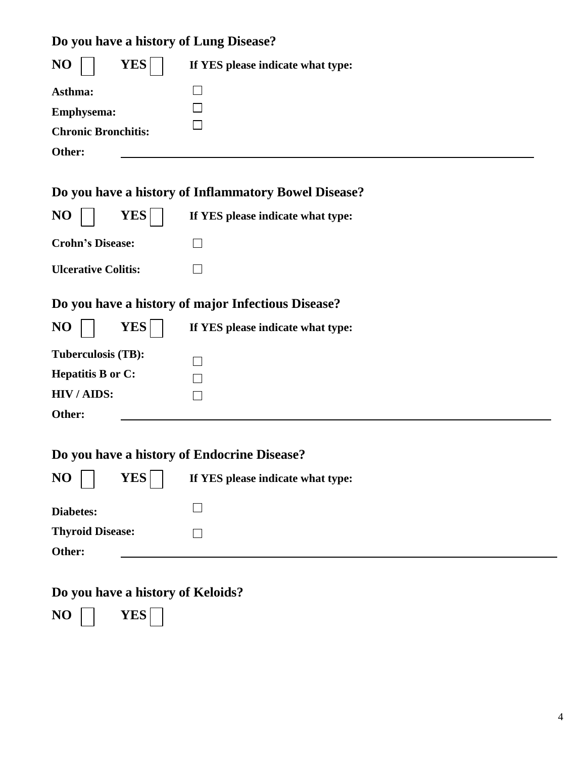## **Do you have a history of Lung Disease?**

| NO<br><b>YES</b>                            | If YES please indicate what type:                    |
|---------------------------------------------|------------------------------------------------------|
| Asthma:<br>Emphysema:                       |                                                      |
| <b>Chronic Bronchitis:</b>                  |                                                      |
| Other:                                      |                                                      |
|                                             | Do you have a history of Inflammatory Bowel Disease? |
| <b>YES</b><br>NO                            | If YES please indicate what type:                    |
| <b>Crohn's Disease:</b>                     |                                                      |
| <b>Ulcerative Colitis:</b>                  |                                                      |
|                                             | Do you have a history of major Infectious Disease?   |
| <b>YES</b><br>NO                            | If YES please indicate what type:                    |
| Tuberculosis (TB):                          |                                                      |
| <b>Hepatitis B or C:</b>                    |                                                      |
| HIV/AIDS:                                   |                                                      |
| Other:                                      |                                                      |
| Do you have a history of Endocrine Disease? |                                                      |
| $ NO  $ $YES$                               | If YES please indicate what type:                    |
| <b>Diabetes:</b>                            |                                                      |
| <b>Thyroid Disease:</b>                     |                                                      |
| Other:                                      |                                                      |
| Do you have a history of Keloids?           |                                                      |

 $N$ **O YES** $\Box$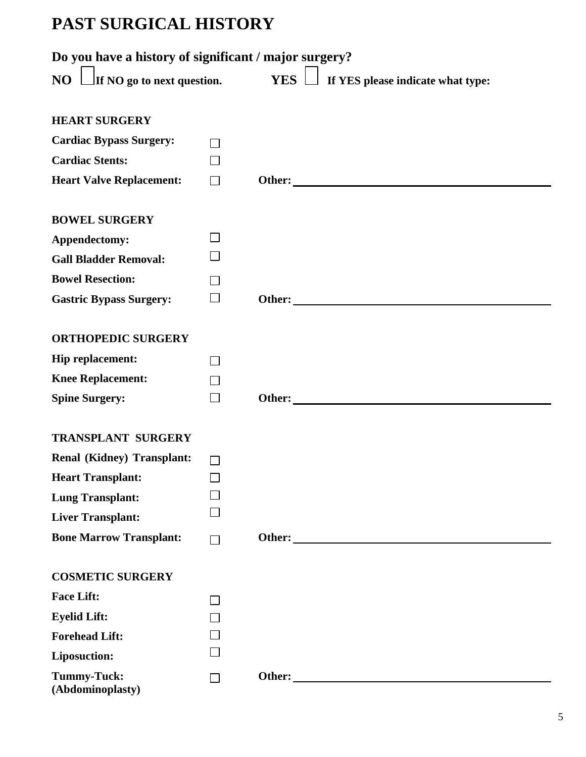## **PAST SURGICAL HISTORY**

| Do you have a history of significant / major surgery? |              |                                                                                                                                                                                                                               |
|-------------------------------------------------------|--------------|-------------------------------------------------------------------------------------------------------------------------------------------------------------------------------------------------------------------------------|
|                                                       |              | NO $\Box$ If NO go to next question. YES $\Box$ If YES please indicate what type:                                                                                                                                             |
|                                                       |              |                                                                                                                                                                                                                               |
| <b>HEART SURGERY</b>                                  |              |                                                                                                                                                                                                                               |
| <b>Cardiac Bypass Surgery:</b>                        | П            |                                                                                                                                                                                                                               |
| <b>Cardiac Stents:</b>                                | $\Box$       |                                                                                                                                                                                                                               |
| <b>Heart Valve Replacement:</b>                       | $\Box$       | Other:                                                                                                                                                                                                                        |
| <b>BOWEL SURGERY</b>                                  |              |                                                                                                                                                                                                                               |
| Appendectomy:                                         | $\Box$       |                                                                                                                                                                                                                               |
| <b>Gall Bladder Removal:</b>                          |              |                                                                                                                                                                                                                               |
| <b>Bowel Resection:</b>                               |              |                                                                                                                                                                                                                               |
| <b>Gastric Bypass Surgery:</b>                        | $\Box$       | Other: Note and the set of the set of the set of the set of the set of the set of the set of the set of the set of the set of the set of the set of the set of the set of the set of the set of the set of the set of the set |
|                                                       |              |                                                                                                                                                                                                                               |
| <b>ORTHOPEDIC SURGERY</b>                             |              |                                                                                                                                                                                                                               |
| Hip replacement:                                      |              |                                                                                                                                                                                                                               |
| <b>Knee Replacement:</b>                              |              |                                                                                                                                                                                                                               |
| <b>Spine Surgery:</b>                                 | $\Box$       |                                                                                                                                                                                                                               |
| <b>TRANSPLANT SURGERY</b>                             |              |                                                                                                                                                                                                                               |
| <b>Renal (Kidney) Transplant:</b>                     |              |                                                                                                                                                                                                                               |
| <b>Heart Transplant:</b>                              |              |                                                                                                                                                                                                                               |
| <b>Lung Transplant:</b>                               |              |                                                                                                                                                                                                                               |
| <b>Liver Transplant:</b>                              |              |                                                                                                                                                                                                                               |
| <b>Bone Marrow Transplant:</b>                        |              |                                                                                                                                                                                                                               |
|                                                       |              |                                                                                                                                                                                                                               |
| <b>COSMETIC SURGERY</b>                               |              |                                                                                                                                                                                                                               |
| <b>Face Lift:</b>                                     | $\mathsf{L}$ |                                                                                                                                                                                                                               |
| <b>Eyelid Lift:</b>                                   |              |                                                                                                                                                                                                                               |
| <b>Forehead Lift:</b>                                 |              |                                                                                                                                                                                                                               |
| <b>Liposuction:</b>                                   |              |                                                                                                                                                                                                                               |
| <b>Tummy-Tuck:</b><br>(Abdominoplasty)                | $\mathsf{L}$ | Other:                                                                                                                                                                                                                        |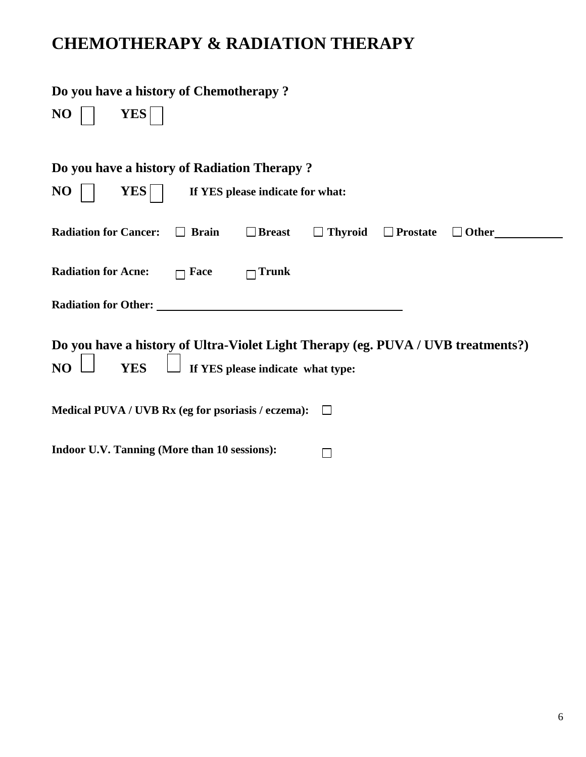## **CHEMOTHERAPY & RADIATION THERAPY**

| Do you have a history of Chemotherapy?                                                                                                                 |
|--------------------------------------------------------------------------------------------------------------------------------------------------------|
| NO<br><b>YES</b>                                                                                                                                       |
| Do you have a history of Radiation Therapy?                                                                                                            |
| NO<br><b>YES</b><br>If YES please indicate for what:                                                                                                   |
| <b>Radiation for Cancer:</b><br>□ Breast<br>$\Box$ Thyroid<br>$\Box$ Prostate<br>$\Box$ Brain<br>$\Box$ Other                                          |
| <b>Radiation for Acne:</b><br>Face<br>Trunk                                                                                                            |
| <b>Radiation for Other:</b>                                                                                                                            |
| Do you have a history of Ultra-Violet Light Therapy (eg. PUVA / UVB treatments?)<br>NO <sub>1</sub><br>If YES please indicate what type:<br><b>YES</b> |
| Medical PUVA / UVB Rx (eg for psoriasis / eczema):                                                                                                     |
| <b>Indoor U.V. Tanning (More than 10 sessions):</b>                                                                                                    |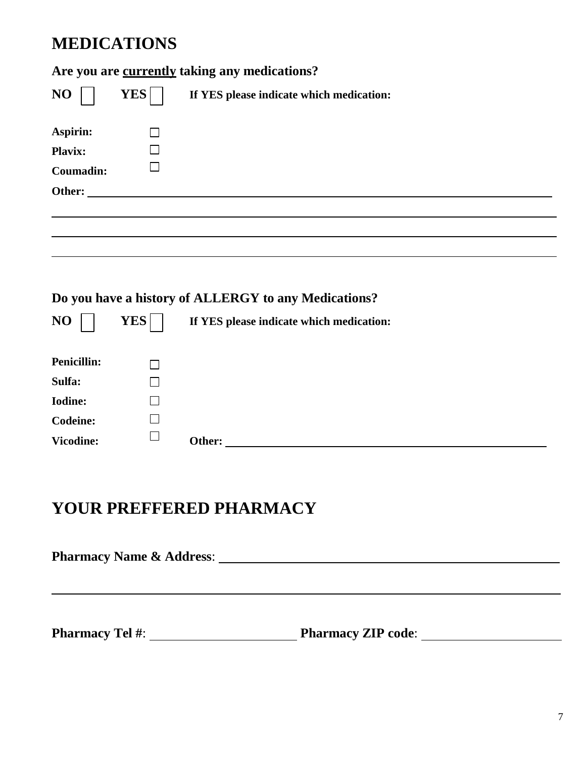## **MEDICATIONS**

### **Are you are currently taking any medications?**

| NO               | <b>YES</b> | If YES please indicate which medication: |
|------------------|------------|------------------------------------------|
| Aspirin:         |            |                                          |
| Plavix:          |            |                                          |
| <b>Coumadin:</b> |            |                                          |
| Other:           |            |                                          |
|                  |            |                                          |
|                  |            |                                          |
|                  |            |                                          |

### **Do you have a history of ALLERGY to any Medications?**

| NO                 | <b>YES</b> |        | If YES please indicate which medication: |  |  |  |
|--------------------|------------|--------|------------------------------------------|--|--|--|
| <b>Penicillin:</b> |            |        |                                          |  |  |  |
| Sulfa:             |            |        |                                          |  |  |  |
| <b>Iodine:</b>     |            |        |                                          |  |  |  |
| <b>Codeine:</b>    |            |        |                                          |  |  |  |
| <b>Vicodine:</b>   | I.         | Other: |                                          |  |  |  |

## **YOUR PREFFERED PHARMACY**

| <b>Pharmacy Name &amp; Address:</b> |                           |  |  |  |
|-------------------------------------|---------------------------|--|--|--|
|                                     |                           |  |  |  |
| <b>Pharmacy Tel #:</b>              | <b>Pharmacy ZIP code:</b> |  |  |  |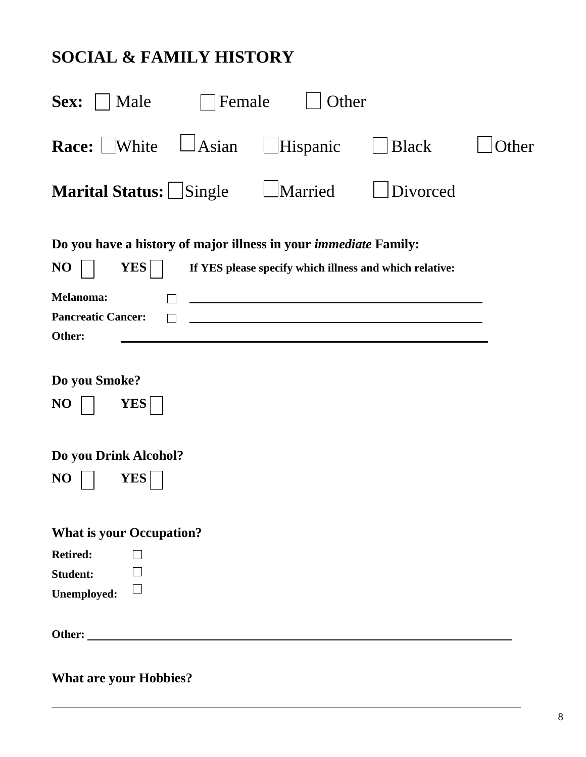## **SOCIAL & FAMILY HISTORY**

| Sex:<br>Male                                                                                                                                    | Female       | Other           |                                                         |       |
|-------------------------------------------------------------------------------------------------------------------------------------------------|--------------|-----------------|---------------------------------------------------------|-------|
| Race: White                                                                                                                                     | $\Box$ Asian | $\Box$ Hispanic | <b>Black</b>                                            | Other |
| <b>Marital Status:</b> Single                                                                                                                   |              | Married         | Divorced                                                |       |
| Do you have a history of major illness in your <i>immediate</i> Family:<br><b>YES</b><br>NO<br>Melanoma:<br><b>Pancreatic Cancer:</b><br>Other: |              |                 | If YES please specify which illness and which relative: |       |
| Do you Smoke?<br><b>YES</b><br>NO                                                                                                               |              |                 |                                                         |       |
| Do you Drink Alcohol?<br>NO<br><b>YES</b>                                                                                                       |              |                 |                                                         |       |
| <b>What is your Occupation?</b><br><b>Retired:</b><br><b>Student:</b><br>$\mathsf{L}$<br>Unemployed:                                            |              |                 |                                                         |       |
| Other:                                                                                                                                          |              |                 |                                                         |       |

**What are your Hobbies?**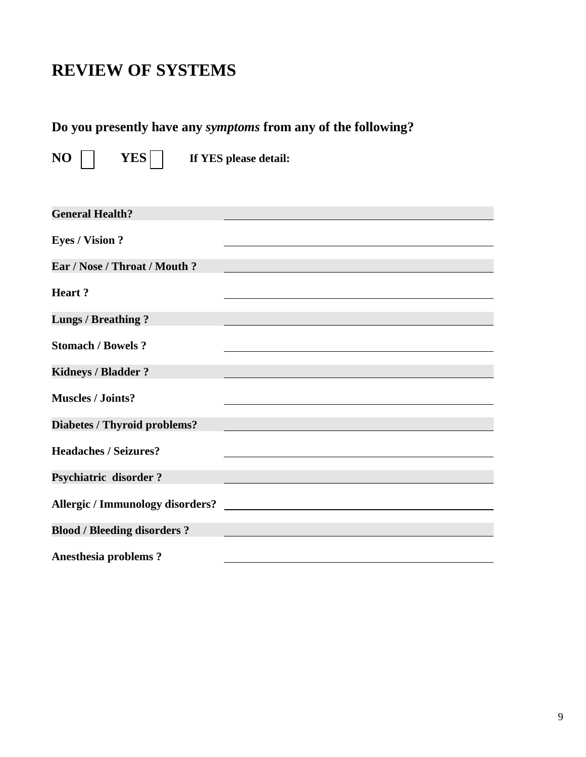### **REVIEW OF SYSTEMS**

### **Do you presently have any** *symptoms* **from any of the following?**

**NO IF YES If YES** please detail:

| <b>General Health?</b>              |  |
|-------------------------------------|--|
| <b>Eyes / Vision ?</b>              |  |
| Ear / Nose / Throat / Mouth ?       |  |
| <b>Heart?</b>                       |  |
| <b>Lungs / Breathing?</b>           |  |
| <b>Stomach / Bowels ?</b>           |  |
| <b>Kidneys / Bladder?</b>           |  |
| <b>Muscles / Joints?</b>            |  |
| <b>Diabetes / Thyroid problems?</b> |  |
| <b>Headaches / Seizures?</b>        |  |
| <b>Psychiatric disorder?</b>        |  |
|                                     |  |
| <b>Blood / Bleeding disorders ?</b> |  |
| <b>Anesthesia problems?</b>         |  |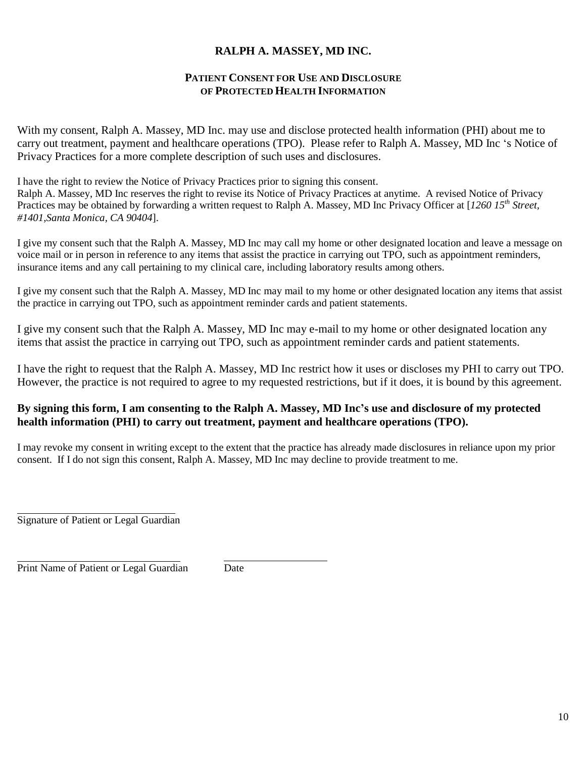#### **RALPH A. MASSEY, MD INC.**

#### **PATIENT CONSENT FOR USE AND DISCLOSURE OF PROTECTED HEALTH INFORMATION**

With my consent, Ralph A. Massey, MD Inc. may use and disclose protected health information (PHI) about me to carry out treatment, payment and healthcare operations (TPO). Please refer to Ralph A. Massey, MD Inc 's Notice of Privacy Practices for a more complete description of such uses and disclosures.

I have the right to review the Notice of Privacy Practices prior to signing this consent.

Ralph A. Massey, MD Inc reserves the right to revise its Notice of Privacy Practices at anytime. A revised Notice of Privacy Practices may be obtained by forwarding a written request to Ralph A. Massey, MD Inc Privacy Officer at [*1260 15th Street, #1401,Santa Monica, CA 90404*].

I give my consent such that the Ralph A. Massey, MD Inc may call my home or other designated location and leave a message on voice mail or in person in reference to any items that assist the practice in carrying out TPO, such as appointment reminders, insurance items and any call pertaining to my clinical care, including laboratory results among others.

I give my consent such that the Ralph A. Massey, MD Inc may mail to my home or other designated location any items that assist the practice in carrying out TPO, such as appointment reminder cards and patient statements.

I give my consent such that the Ralph A. Massey, MD Inc may e-mail to my home or other designated location any items that assist the practice in carrying out TPO, such as appointment reminder cards and patient statements.

I have the right to request that the Ralph A. Massey, MD Inc restrict how it uses or discloses my PHI to carry out TPO. However, the practice is not required to agree to my requested restrictions, but if it does, it is bound by this agreement.

#### **By signing this form, I am consenting to the Ralph A. Massey, MD Inc's use and disclosure of my protected health information (PHI) to carry out treatment, payment and healthcare operations (TPO).**

I may revoke my consent in writing except to the extent that the practice has already made disclosures in reliance upon my prior consent. If I do not sign this consent, Ralph A. Massey, MD Inc may decline to provide treatment to me.

Signature of Patient or Legal Guardian

Print Name of Patient or Legal Guardian Date